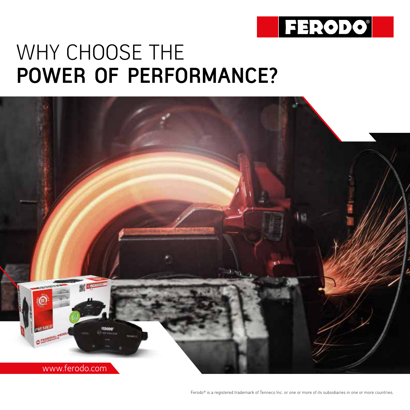

### WHY CHOOSE THE **POWER OF PERFORMANCE?**

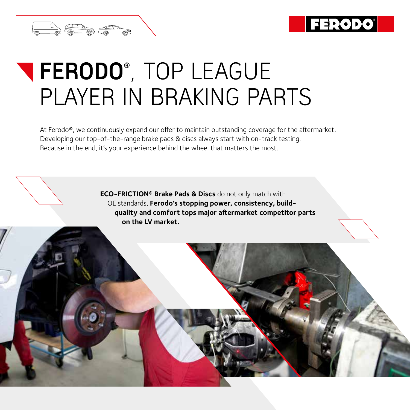

# **FERODO®** , TOP LEAGUE PLAYER IN BRAKING PARTS

At Ferodo®, we continuously expand our offer to maintain outstanding coverage for the aftermarket. Developing our top-of-the-range brake pads & discs always start with on-track testing. Because in the end, it's your experience behind the wheel that matters the most.

> **ECO-FRICTION® Brake Pads & Discs** do not only match with OE standards, **Ferodo's stopping power, consistency, buildquality and comfort tops major aftermarket competitor parts on the LV market.**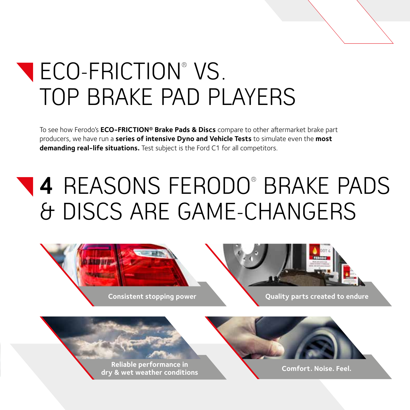

# ECO-FRICTION® VS. TOP BRAKE PAD PLAYERS

To see how Ferodo's **ECO-FRICTION® Brake Pads & Discs** compare to other aftermarket brake part producers, we have run a **series of intensive Dyno and Vehicle Tests** to simulate even the **most demanding real-life situations.** Test subject is the Ford C1 for all competitors.

# **4** REASONS FERODO® BRAKE PADS & DISCS ARE GAME-CHANGERS



**Reliable performance in dry & wet weather conditions Comfort. Noise. Feel.**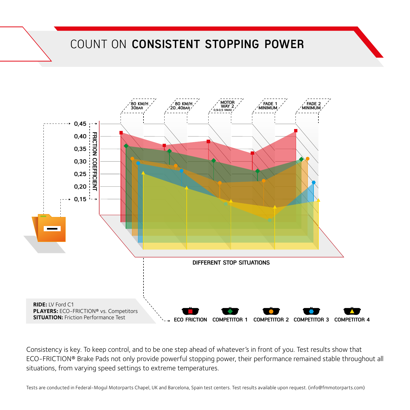#### COUNT ON **CONSISTENT STOPPING POWER**



Consistency is key. To keep control, and to be one step ahead of whatever's in front of you. Test results show that ECO-FRICTION® Brake Pads not only provide powerful stopping power, their performance remained stable throughout all situations, from varying speed settings to extreme temperatures.

Tests are conducted in Federal-Mogul Motorparts Chapel, UK and Barcelona, Spain test centers. Test results available upon request. (info@fmmotorparts.com)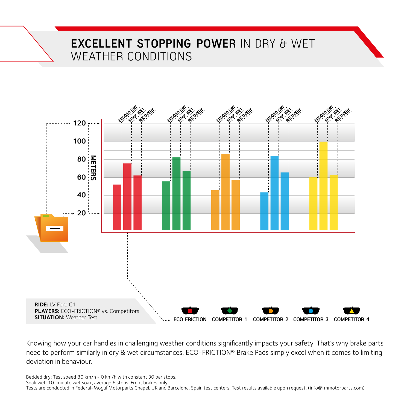#### **EXCELLENT STOPPING POWER** IN DRY & WET WEATHER CONDITIONS



Knowing how your car handles in challenging weather conditions significantly impacts your safety. That's why brake parts need to perform similarly in dry & wet circumstances. ECO-FRICTION® Brake Pads simply excel when it comes to limiting deviation in behaviour.

Bedded dry: Test speed 80 km/h - 0 km/h with constant 30 bar stops.

Soak wet: 10-minute wet soak, average 6 stops. Front brakes only. Tests are conducted in Federal-Mogul Motorparts Chapel, UK and Barcelona, Spain test centers. Test results available upon request. (info@fmmotorparts.com)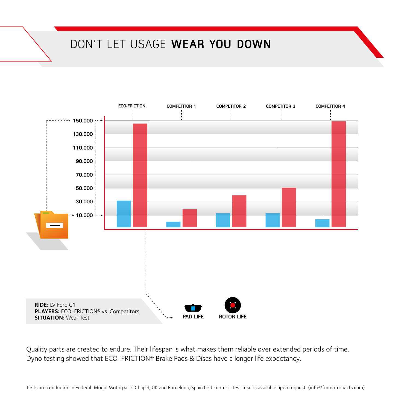#### DON'T LET USAGE **WEAR YOU DOWN**



Quality parts are created to endure. Their lifespan is what makes them reliable over extended periods of time. Dyno testing showed that ECO-FRICTION® Brake Pads & Discs have a longer life expectancy.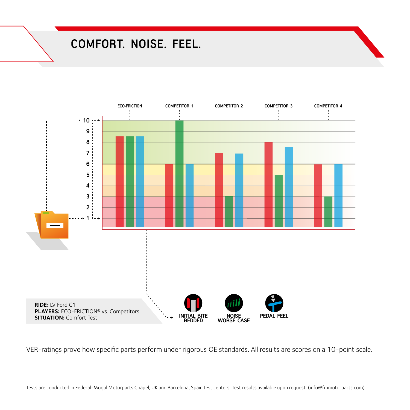#### **COMFORT. NOISE. FEEL.**



VER-ratings prove how specific parts perform under rigorous OE standards. All results are scores on a 10-point scale.

Tests are conducted in Federal-Mogul Motorparts Chapel, UK and Barcelona, Spain test centers. Test results available upon request. (info@fmmotorparts.com)